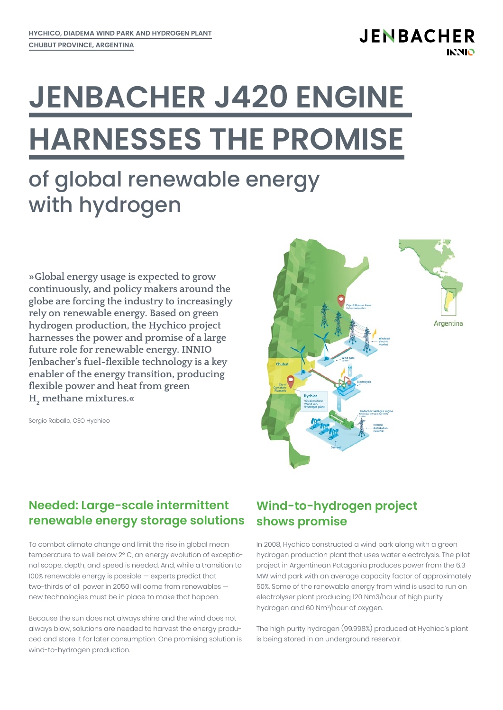# **JENBACHER J420 ENGINE HARNESSES THE PROMISE**

## of global renewable energy with hydrogen

**»Global energy usage is expected to grow continuously, and policy makers around the globe are forcing the industry to increasingly rely on renewable energy. Based on green hydrogen production, the Hychico project harnesses the power and promise of a large future role for renewable energy. INNIO Jenbacher's fuel-flexible technology is a key enabler of the energy transition, producing flexible power and heat from green H2 methane mixtures.«**

Sergio Raballo, CEO Hychico



#### **Needed: Large-scale intermittent renewable energy storage solutions**

To combat climate change and limit the rise in global mean temperature to well below 2° C, an energy evolution of exceptional scope, depth, and speed is needed. And, while a transition to 100% renewable energy is possible — experts predict that two-thirds of all power in 2050 will come from renewables new technologies must be in place to make that happen.

Because the sun does not always shine and the wind does not always blow, solutions are needed to harvest the energy produced and store it for later consumption. One promising solution is wind-to-hydrogen production.

#### **Wind-to-hydrogen project shows promise**

In 2008, Hychico constructed a wind park along with a green hydrogen production plant that uses water electrolysis. The pilot project in Argentinean Patagonia produces power from the 6.3 MW wind park with an average capacity factor of approximately 50%. Some of the renewable energy from wind is used to run an electrolyser plant producing 120 Nm3/hour of high purity hydrogen and 60 Nm3/hour of oxygen.

The high purity hydrogen (99.998%) produced at Hychico's plant is being stored in an underground reservoir.